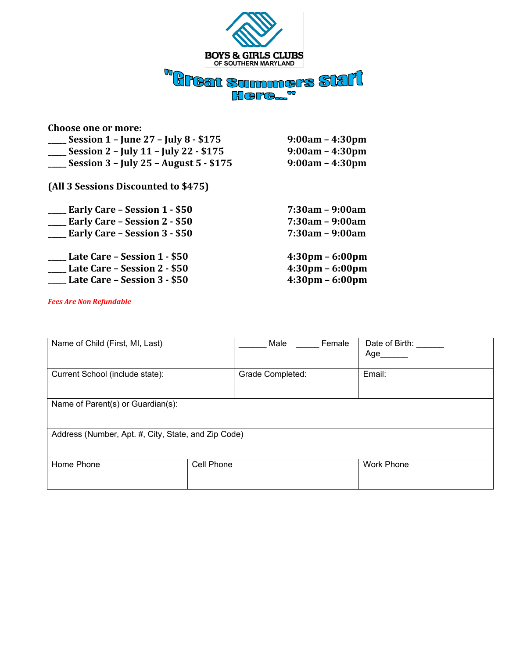

| <b>Choose one or more:</b>              |                                   |
|-----------------------------------------|-----------------------------------|
| Session $1 -$ June 27 – July 8 - \$175  | $9:00am - 4:30pm$                 |
| Session 2 - July 11 - July 22 - \$175   | $9:00am - 4:30pm$                 |
| Session 3 - July 25 - August 5 - \$175  | $9:00am - 4:30pm$                 |
| (All 3 Sessions Discounted to \$475)    |                                   |
| Early Care – Session 1 - \$50           | 7:30am - 9:00am                   |
| ____ Early Care – Session 2 - \$50      | $7:30am - 9:00am$                 |
| <b>__ Early Care - Session 3 - \$50</b> | $7:30am - 9:00am$                 |
| Late Care – Session 1 - \$50            | $4:30 \text{pm} - 6:00 \text{pm}$ |
| <b>Late Care - Session 2 - \$50</b>     | $4:30 \text{pm} - 6:00 \text{pm}$ |
| <b>Late Care - Session 3 - \$50</b>     | $4:30 \text{pm} - 6:00 \text{pm}$ |

*Fees Are Non Refundable* 

| Name of Child (First, MI, Last)                     | Female<br>Male          | Date of Birth:<br>Age |  |
|-----------------------------------------------------|-------------------------|-----------------------|--|
| Current School (include state):                     | <b>Grade Completed:</b> | Email:                |  |
| Name of Parent(s) or Guardian(s):                   |                         |                       |  |
| Address (Number, Apt. #, City, State, and Zip Code) |                         |                       |  |
| Home Phone                                          | Cell Phone              | <b>Work Phone</b>     |  |